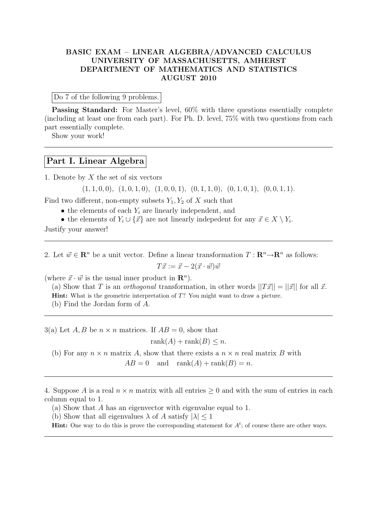## BASIC EXAM – LINEAR ALGEBRA/ADVANCED CALCULUS UNIVERSITY OF MASSACHUSETTS, AMHERST DEPARTMENT OF MATHEMATICS AND STATISTICS AUGUST 2010

Do 7 of the following 9 problems.

Passing Standard: For Master's level, 60% with three questions essentially complete (including at least one from each part). For Ph. D. level, 75% with two questions from each part essentially complete.

Show your work!

## Part I. Linear Algebra

1. Denote by  $X$  the set of six vectors

 $(1, 1, 0, 0), (1, 0, 1, 0), (1, 0, 0, 1), (0, 1, 1, 0), (0, 1, 0, 1), (0, 0, 1, 1).$ 

Find two different, non-empty subsets  $Y_1, Y_2$  of X such that

- $\bullet$  the elements of each  $Y_i$  are linearly independent, and
- the elements of  $Y_i \cup \{\vec{x}\}\$ are not linearly indepedent for any  $\vec{x} \in X \setminus Y_i$ .

Justify your answer!

2. Let  $\vec{w} \in \mathbb{R}^n$  be a unit vector. Define a linear transformation  $T : \mathbb{R}^n \to \mathbb{R}^n$  as follows:

$$
T\vec{x} := \vec{x} - 2(\vec{x} \cdot \vec{w})\vec{w}
$$

(where  $\vec{x} \cdot \vec{w}$  is the usual inner product in  $\mathbf{R}^n$ ).

(a) Show that T is an *orthogonal* transformation, in other words  $||T\vec{x}|| = ||\vec{x}||$  for all  $\vec{x}$ . Hint: What is the geometric interpretation of T? You might want to draw a picture. (b) Find the Jordan form of A.

3(a) Let A, B be  $n \times n$  matrices. If  $AB = 0$ , show that

 $rank(A) + rank(B) \leq n$ .

(b) For any  $n \times n$  matrix A, show that there exists a  $n \times n$  real matrix B with

 $AB = 0$  and  $\operatorname{rank}(A) + \operatorname{rank}(B) = n$ .

4. Suppose A is a real  $n \times n$  matrix with all entries  $\geq 0$  and with the sum of entries in each column equal to 1.

(a) Show that A has an eigenvector with eigenvalue equal to 1.

(b) Show that all eigenvalues  $\lambda$  of A satisfy  $|\lambda| \leq 1$ 

**Hint:** One way to do this is prove the corresponding statement for  $A^t$ ; of course there are other ways.